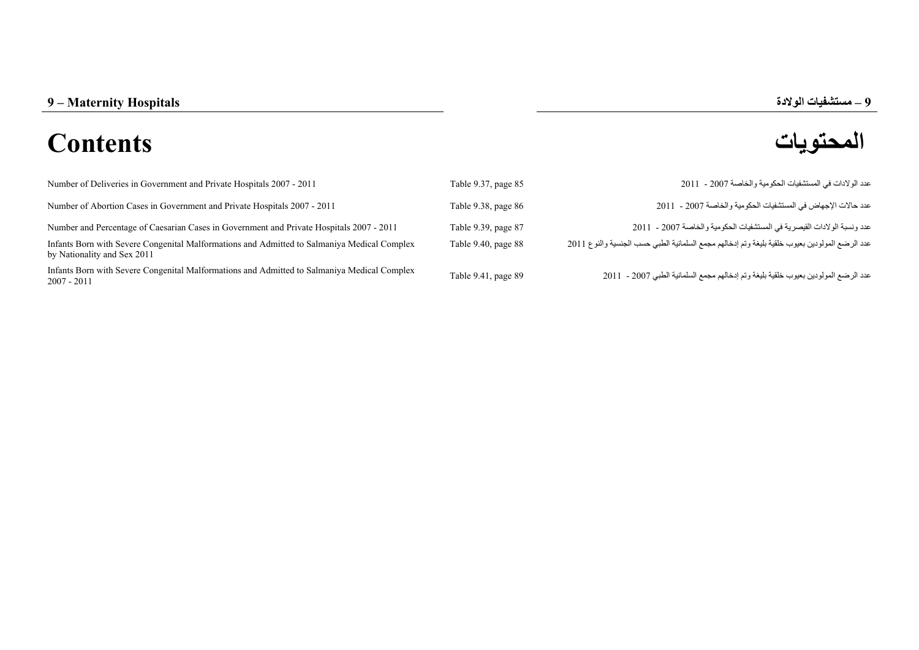## **المحتويات Contents**

**–**

| Number of Deliveries in Government and Private Hospitals 2007 - 2011                                                       | Table 9.37, page 85      | عدد الو لادات في المستشفيات الحكو مية و الخاصـة 2007 - 2011                                    |
|----------------------------------------------------------------------------------------------------------------------------|--------------------------|------------------------------------------------------------------------------------------------|
| Number of Abortion Cases in Government and Private Hospitals 2007 - 2011                                                   | Table 9.38, page 86      | عدد حالات الإجهاض في المستشفيات الحكو مية و الخاصبة 2007 - 2011                                |
| Number and Percentage of Caesarian Cases in Government and Private Hospitals 2007 - 2011                                   | Table 9.39, page 87      | عدد و نسبة الو لادات القيصر ية في المستشفيات الحكو مية و الخاصـة 2007 - 2011                   |
| Infants Born with Severe Congenital Malformations and Admitted to Salmaniya Medical Complex<br>by Nationality and Sex 2011 | Table $9.40$ , page $88$ | عدد الرضع المولودين بعيوب خلقية بليغة وتم إدخالهم مجمع السلمانية الطبي حسب الجنسية والنوع 2011 |
| Infants Born with Severe Congenital Malformations and Admitted to Salmaniya Medical Complex<br>$2007 - 2011$               | Table 9.41, page 89      | عدد الرضع المولودين بعيوب خلقية بليغة وتم إدخالهم مجمع السلمانية الطبي 2007 - 2011             |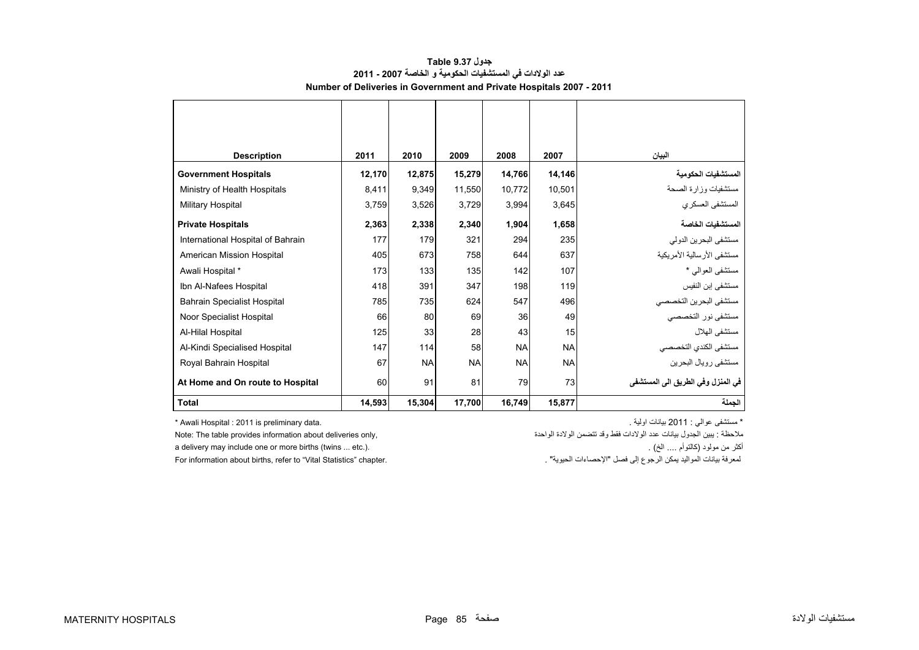<span id="page-1-0"></span>

| <b>Description</b>                 | 2011   | 2010      | 2009      | 2008      | 2007      | البيان                            |
|------------------------------------|--------|-----------|-----------|-----------|-----------|-----------------------------------|
| <b>Government Hospitals</b>        | 12,170 | 12,875    | 15,279    | 14,766    | 14,146    | المستشفيات الحكومية               |
| Ministry of Health Hospitals       | 8,411  | 9,349     | 11.550    | 10.772    | 10,501    | مستشفيات وزارة الصحة              |
| Military Hospital                  | 3,759  | 3,526     | 3,729     | 3,994     | 3,645     | المستشفى العسكري                  |
| <b>Private Hospitals</b>           | 2,363  | 2,338     | 2,340     | 1,904     | 1,658     | المستشفيات الخاصة                 |
| International Hospital of Bahrain  | 177    | 179       | 321       | 294       | 235       | مستشفى البحرين الدولي             |
| American Mission Hospital          | 405    | 673       | 758       | 644       | 637       | مستشفى الأرسالية الأمريكية        |
| Awali Hospital *                   | 173    | 133       | 135       | 142       | 107       | مستشفى العوالى *                  |
| Ibn Al-Nafees Hospital             | 418    | 391       | 347       | 198       | 119       | مستشفى إبن النفيس                 |
| <b>Bahrain Specialist Hospital</b> | 785    | 735       | 624       | 547       | 496       | مستشفى البحرين التخصصي            |
| Noor Specialist Hospital           | 66     | 80        | 69        | 36        | 49        | مستشفى نور التخصصي                |
| Al-Hilal Hospital                  | 125    | 33        | 28        | 43        | 15        | مستشفى الهلال                     |
| Al-Kindi Specialised Hospital      | 147    | 114       | 58        | <b>NA</b> | <b>NA</b> | مستشفى الكندي التخصصي             |
| Royal Bahrain Hospital             | 67     | <b>NA</b> | <b>NA</b> | <b>NA</b> | <b>NA</b> | مستشفى رويال البحرين              |
| At Home and On route to Hospital   | 60     | 91        | 81        | 79        | 73        | في المنزل وفي الطريق الى المستشفى |
| <b>Total</b>                       | 14,593 | 15,304    | 17,700    | 16,749    | 15,877    | الجملة                            |

## **جدول 9.37 Table عدد الوالدات في المستشفيات الحكومية <sup>و</sup> الخاصة 2007 - 2011 Number of Deliveries in Government and Private Hospitals 2007 - 2011**

\* Awali Hospital : 2011 is preliminary data. . . . . . . التجار المستشفى عوالي : 2011 ؛ والية بيانات اولية جوال

ملاحظة : يبين الجدول بيانات عدد الولادات فقط وقد تتضمن الولادة الواحدة ,only de: The table provides information about deliveries only الملاحظة : يبين الجدول بيانات عدد الولادات فقط وقد تتضمن الولادة الواحدة ,only de: The

For information about births, refer to "Vital Statistics" chapter.

a delivery may include one or more births (twins ... etc.). . (الخ .... كالتوأم (مولود من أكثر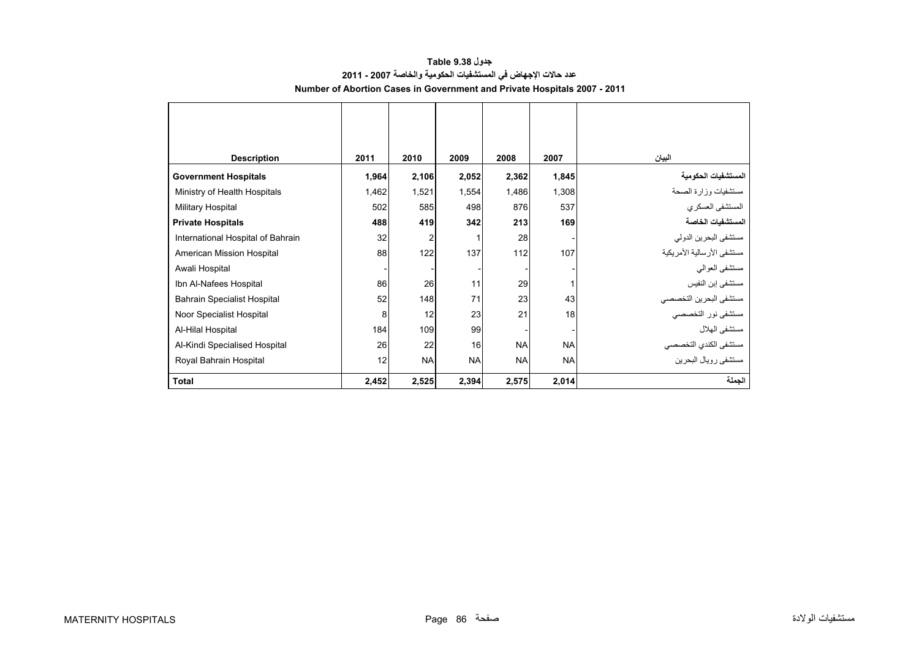<span id="page-2-0"></span>

| <b>Description</b>                 | 2011  | 2010      | 2009      | 2008      | 2007      | البيان                       |
|------------------------------------|-------|-----------|-----------|-----------|-----------|------------------------------|
| <b>Government Hospitals</b>        | 1,964 | 2,106     | 2,052     | 2,362     | 1,845     | المستشفيات الحكومية          |
| Ministry of Health Hospitals       | 1,462 | 1,521     | 1,554     | 1,486     | 1,308     | مستشفيات وزارة الصحة         |
| <b>Military Hospital</b>           | 502   | 585       | 498       | 876       | 537       | المستشفى العسكري             |
| <b>Private Hospitals</b>           | 488   | 419       | 342       | 213       | 169       | المستشفيات الخاصة            |
| International Hospital of Bahrain  | 32    |           |           | 28        |           | مستشفى البحرين الدولي        |
| American Mission Hospital          | 88    | 122       | 137       | 112       | 107       | مستشفى الأر سالية الأمر يكية |
| Awali Hospital                     |       |           |           |           |           | مستشفى العوالمي              |
| Ibn Al-Nafees Hospital             | 86    | 26        | 11        | 29        |           | مستشفى إبن النفيس            |
| <b>Bahrain Specialist Hospital</b> | 52    | 148       | 71        | 23        | 43        | مستشفى البحرين التخصصي       |
| Noor Specialist Hospital           | 8     | 12        | 23        | 21        | 18        | مستشفى نور التخصصي           |
| Al-Hilal Hospital                  | 184   | 109       | 99        |           |           | مستشفى الهلال                |
| Al-Kindi Specialised Hospital      | 26    | 22        | 16        | <b>NA</b> | <b>NA</b> | مستشفى الكندي التخصصي        |
| Royal Bahrain Hospital             | 12    | <b>NA</b> | <b>NA</b> | <b>NA</b> | <b>NA</b> | مستشفى رويال البحرين         |
| <b>Total</b>                       | 2,452 | 2,525     | 2,394     | 2,575     | 2,014     | الجملة                       |

## **جدول 9.38 Table عدد حاالت اإلجھاض في المستشفيات الحكومية والخاصة 2007 - 2011 Number of Abortion Cases in Government and Private Hospitals 2007 - 2011**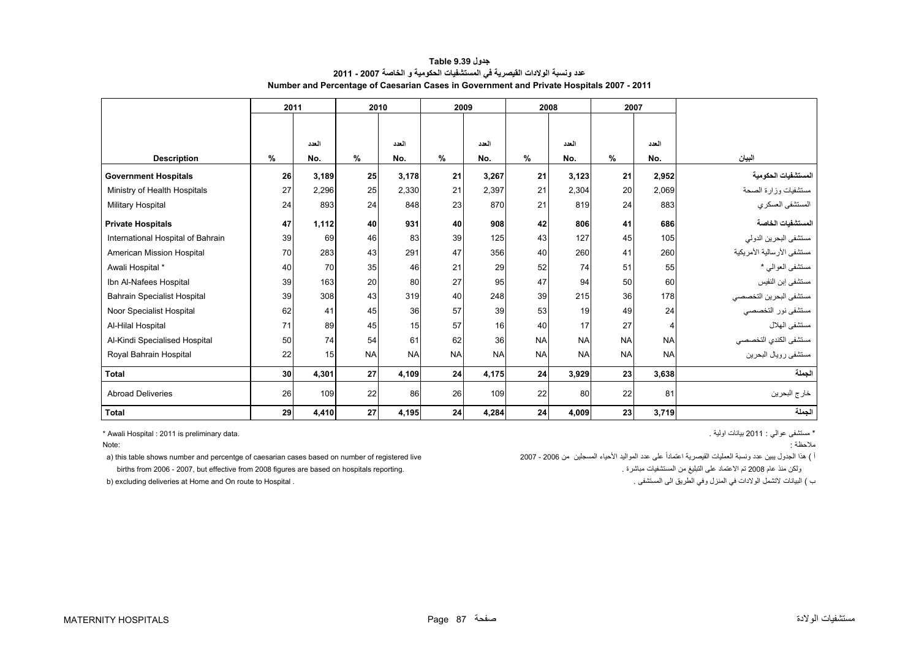<span id="page-3-0"></span>

| ------------                       |    |       |           |           |           |           |           |           |           |           |                            |  |  |
|------------------------------------|----|-------|-----------|-----------|-----------|-----------|-----------|-----------|-----------|-----------|----------------------------|--|--|
|                                    |    | 2011  |           | 2010      |           | 2009      |           | 2008      | 2007      |           |                            |  |  |
|                                    |    |       |           |           |           |           |           |           |           |           |                            |  |  |
|                                    |    | العدد |           | العدد     |           | العدد     |           | العدد     |           | العدد     |                            |  |  |
| <b>Description</b>                 | %  | No.   | %         | No.       | %         | No.       | %         | No.       | %         | No.       | البيان                     |  |  |
| <b>Government Hospitals</b>        | 26 | 3,189 | 25        | 3,178     | 21        | 3,267     | 21        | 3,123     | 21        | 2,952     | لمستشفيات الحكومية         |  |  |
| Ministry of Health Hospitals       | 27 | 2,296 | 25        | 2,330     | 21        | 2,397     | 21        | 2,304     | 20        | 2,069     | مستشفيات وزارة الصحة       |  |  |
| Military Hospital                  | 24 | 893   | 24        | 848       | 23        | 870       | 21        | 819       | 24        | 883       | المستشفى العسكري           |  |  |
| <b>Private Hospitals</b>           | 47 | 1,112 | 40        | 931       | 40        | 908       | 42        | 806       | 41        | 686       | لمستشفيات الخاصة           |  |  |
| International Hospital of Bahrain  | 39 | 69    | 46        | 83        | 39        | 125       | 43        | 127       | 45        | 105       | مستشفى البحرين الدولي      |  |  |
| American Mission Hospital          | 70 | 283   | 43        | 291       | 47        | 356       | 40        | 260       | 41        | 260       | مستشفى الأرسالية الأمريكية |  |  |
| Awali Hospital *                   | 40 | 70    | 35        | 46        | 21        | 29        | 52        | 74        | 51        | 55        | مستشفى العوالي *           |  |  |
| Ibn Al-Nafees Hospital             | 39 | 163   | 20        | 80        | 27        | 95        | 47        | 94        | 50        | 60        | مستشفى إبن النفيس          |  |  |
| <b>Bahrain Specialist Hospital</b> | 39 | 308   | 43        | 319       | 40        | 248       | 39        | 215       | 36        | 178       | مستشفى البحرين التخصصي     |  |  |
| Noor Specialist Hospital           | 62 | 41    | 45        | 36        | 57        | 39        | 53        | 19        | 49        | 24        | مستشفى نور التخصصي         |  |  |
| Al-Hilal Hospital                  | 71 | 89    | 45        | 15        | 57        | 16        | 40        | 17        | 27        | 4         | مستشفى الهلال              |  |  |
| Al-Kindi Specialised Hospital      | 50 | 74    | 54        | 61        | 62        | 36        | <b>NA</b> | <b>NA</b> | <b>NA</b> | <b>NA</b> | مستشفى الكندي التخصصي      |  |  |
| Royal Bahrain Hospital             | 22 | 15    | <b>NA</b> | <b>NA</b> | <b>NA</b> | <b>NA</b> | <b>NA</b> | <b>NA</b> | <b>NA</b> | <b>NA</b> | مستشفى رويال البحرين       |  |  |
| Total                              | 30 | 4,301 | 27        | 4,109     | 24        | 4,175     | 24        | 3,929     | 23        | 3,638     | لجملة                      |  |  |
| <b>Abroad Deliveries</b>           | 26 | 109   | 22        | 86        | 26        | 109       | 22        | 80        | 22        | 81        | خارج البحرين               |  |  |

**الجملة 3,719 <sup>23</sup> 4,009 <sup>24</sup> 4,284 <sup>24</sup> 4,195 <sup>27</sup> 4,410 <sup>29</sup> Total** 

**جدول 9.39 Table عدد ونسبة الوالدات القيصرية في المستشفيات الحكومية <sup>و</sup> الخاصة 2007 - 2011 Number and Percentage of Caesarian Cases in Government and Private Hospitals 2007 - 2011**

\* Awali Hospital : 2011 is preliminary data. . اولية بيانات 2011 : عوالي مستشفى\*

:Note

مالحظة :

) هذا الجدول يبين عدد ونسبة العمليات القيصرية اعتماداً على عدد المواليد الأحياء المسجلين من 2006 - 2007 2007 م births from 2006 - 2007, but effective from 2008 figures are based on hospitals reporting. . مباشرة المستشفيات من التبليغ على االعتماد تم <sup>2008</sup> عام منذ ولكن

b) excluding deliveries at Home and On route to Hospital .

ب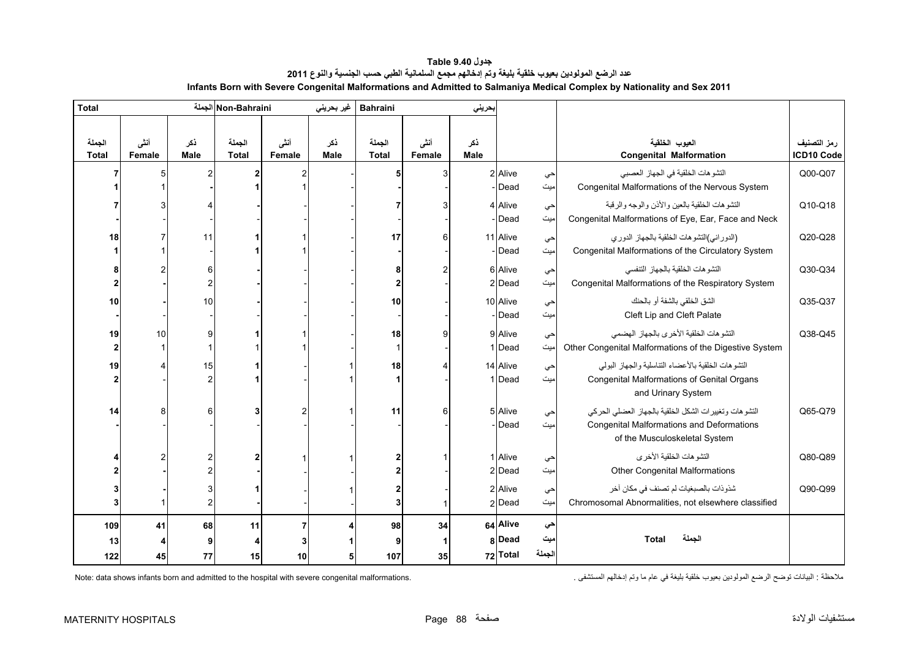<span id="page-4-0"></span>

| <b>Total</b>           |                       |                    | Non-Bahraini الجملة    |                | غير بحريني         | <b>Bahraini</b>        |                | بحريني             |          |        |                                                                  |                           |
|------------------------|-----------------------|--------------------|------------------------|----------------|--------------------|------------------------|----------------|--------------------|----------|--------|------------------------------------------------------------------|---------------------------|
| الجملة<br><b>Total</b> | أنشى<br><b>Female</b> | نكر<br><b>Male</b> | الجملة<br><b>Total</b> | أنشى<br>Female | ذكر<br><b>Male</b> | الجملة<br><b>Total</b> | أننى<br>Female | ذكر<br><b>Male</b> |          |        | العيوب الخلقية<br><b>Congenital Malformation</b>                 | رمز التصنيف<br>ICD10 Code |
|                        |                       | 2                  |                        |                |                    | 5                      | 3              |                    | 2 Alive  | حي     | التشو هات الخلقية في الجهاز العصبي                               | Q00-Q07                   |
|                        |                       |                    |                        |                |                    |                        |                |                    | Dead     | میت    | Congenital Malformations of the Nervous System                   |                           |
|                        |                       |                    |                        |                |                    |                        |                |                    | 4 Alive  | حي     | النشو هات الخلقية بالعين والأذن والوجه والرقبة                   | Q10-Q18                   |
|                        |                       |                    |                        |                |                    |                        |                |                    | - Dead   | میت    | Congenital Malformations of Eye, Ear, Face and Neck              |                           |
| 18                     |                       | 11                 |                        |                |                    | 17                     | 6              |                    | 11 Alive | حي     | (الدوراني)التشوهات الخلقية بالجهاز الدوري                        | Q20-Q28                   |
|                        |                       |                    |                        |                |                    |                        |                |                    | Dead     | میت    | Congenital Malformations of the Circulatory System               |                           |
|                        |                       | 6                  |                        |                |                    |                        |                |                    | 6 Alive  | حي     | التشو هات الخلقية بالجهاز التنفسي                                | Q30-Q34                   |
|                        |                       | 2                  |                        |                |                    |                        |                |                    | 2 Dead   | امیت   | Congenital Malformations of the Respiratory System               |                           |
| 10                     |                       | 10                 |                        |                |                    | 10                     |                |                    | 10 Alive | حي     | الشق الخلقي بالشفة أو بالحنك                                     | Q35-Q37                   |
|                        |                       |                    |                        |                |                    |                        |                |                    | Dead     | میت    | Cleft Lip and Cleft Palate                                       |                           |
| 19                     | 10                    | 9                  |                        |                |                    | 18                     | 9              |                    | 9 Alive  | حي     | النشو هات الخلقية الأخر ي بالجهاز الهضمى                         | Q38-Q45                   |
| $\overline{2}$         |                       |                    |                        |                |                    | $\mathbf 1$            |                |                    | 1 Dead   | میت    | Other Congenital Malformations of the Digestive System           |                           |
| 19                     |                       | 15                 |                        |                |                    | 18                     |                |                    | 14 Alive | حي     | التشوهات الخلقية بالأعضاء التناسلية والجهاز البولى               |                           |
|                        |                       | 2                  |                        |                |                    |                        |                |                    | 1 Dead   | میت    | Congenital Malformations of Genital Organs<br>and Urinary System |                           |
| 14                     |                       | 6                  | 3                      |                |                    | 11                     | 6              |                    | 5 Alive  | حي     | التشوهات وتغييرات الشكل الخلقية بالجهاز العضلى الحركى            | Q65-Q79                   |
|                        |                       |                    |                        |                |                    |                        |                |                    | - Dead   | میت    | <b>Congenital Malformations and Deformations</b>                 |                           |
|                        |                       |                    |                        |                |                    |                        |                |                    |          |        | of the Musculoskeletal System                                    |                           |
|                        |                       |                    | 2                      |                |                    |                        |                |                    | 1 Alive  | حي     | التشو هات الخلقية الأخر ي                                        | Q80-Q89                   |
|                        |                       |                    |                        |                |                    |                        |                |                    | 2 Dead   | میت    | <b>Other Congenital Malformations</b>                            |                           |
|                        |                       |                    |                        |                |                    |                        |                |                    | 2 Alive  | حي     | شذوذات بالصبغيات لم تصنف في مكان أخر                             | Q90-Q99                   |
|                        |                       | 2                  |                        |                |                    | 3                      |                |                    | 2 Dead   | میت    | Chromosomal Abnormalities, not elsewhere classified              |                           |
| 109                    | 41                    | 68                 | 11                     | $\overline{7}$ |                    | 98                     | 34             |                    | 64 Alive | حي     |                                                                  |                           |
| 13                     |                       |                    | 4                      |                |                    |                        | 1              |                    | 8 Dead   | میت    | الجملة<br>Total                                                  |                           |
| 122                    | 45                    | 77                 | 15                     | 10             |                    | 107                    | 35             |                    | 72 Total | الجملة |                                                                  |                           |

| جدول Table 9.40                                                                                                         |
|-------------------------------------------------------------------------------------------------------------------------|
| عدد الرضع المولودين بعيوب خلقية بليغة وتم إدخالهم مجمع السلمانية الطبي حسب الجنسية والنوع 2011                          |
| Infants Born with Severe Congenital Malformations and Admitted to Salmaniya Medical Complex by Nationality and Sex 2011 |

Note: data shows infants born and admitted to the hospital with severe congenital malformations.

مالحظة : البيانات توضح الرضع المولودين بعيوب خلقية بليغة في عام ما وتم إدخالھم المستشفى .